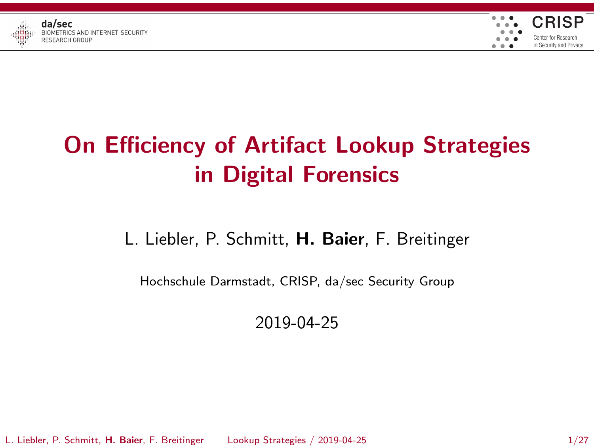



# On Efficiency of Artifact Lookup Strategies in Digital Forensics

### L. Liebler, P. Schmitt, H. Baier, F. Breitinger

Hochschule Darmstadt, CRISP, da/sec Security Group

2019-04-25

L. Liebler, P. Schmitt, H. Baier, F. Breitinger [Lookup Strategies](#page-26-0) / 2019-04-25 1/27

<span id="page-0-0"></span>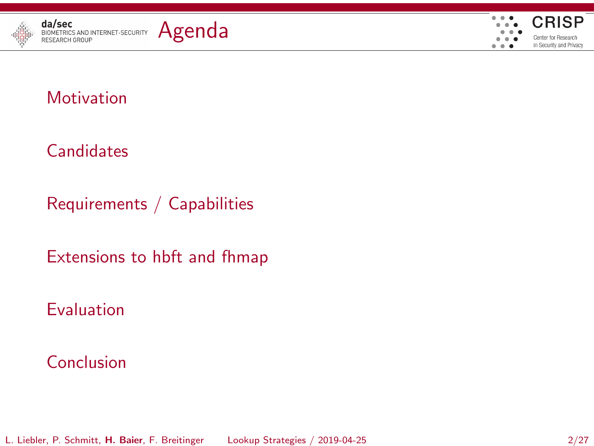



<span id="page-1-0"></span>

#### **[Candidates](#page-7-0)**

[Requirements / Capabilities](#page-14-0)

[Extensions to hbft and fhmap](#page-17-0)

[Evaluation](#page-20-0)

#### [Conclusion](#page-24-0)

L. Liebler, P. Schmitt, H. Baier, F. Breitinger [Lookup Strategies](#page-0-0) / 2019-04-25 2/27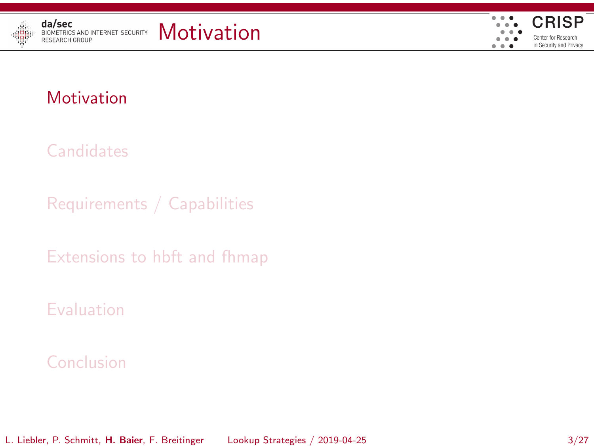



**[Candidates](#page-7-0)** 

[Requirements / Capabilities](#page-14-0)

[Extensions to hbft and fhmap](#page-17-0)

[Evaluation](#page-20-0)

#### [Conclusion](#page-24-0)

L. Liebler, P. Schmitt, H. Baier, F. Breitinger [Lookup Strategies](#page-0-0) / 2019-04-25 3/27

<span id="page-2-0"></span>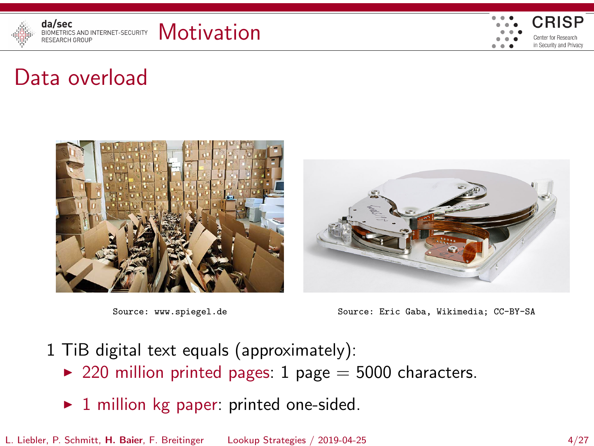

<span id="page-3-0"></span>

### Data overload







Source: www.spiegel.de Source: Eric Gaba, Wikimedia; CC-BY-SA

- 1 TiB digital text equals (approximately):
	- ▶ 220 million printed pages: 1 page =  $5000$  characters.
	- $\blacktriangleright$  1 million kg paper: printed one-sided.

L. Liebler, P. Schmitt, H. Baier, F. Breitinger [Lookup Strategies](#page-0-0) / 2019-04-25 4/27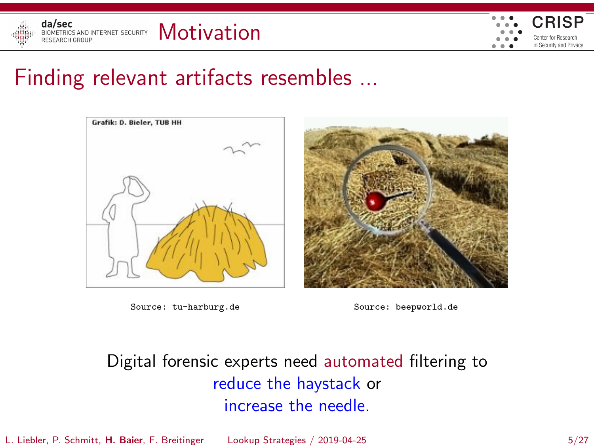



### Finding relevant artifacts resembles ...



Source: tu-harburg.de Source: beepworld.de

<span id="page-4-0"></span>

Digital forensic experts need automated filtering to reduce the haystack or increase the needle.

L. Liebler, P. Schmitt, H. Baier, F. Breitinger [Lookup Strategies](#page-0-0) / 2019-04-25 5/27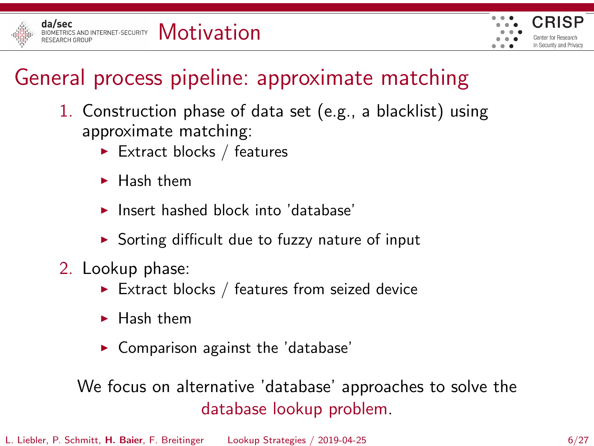

<span id="page-5-0"></span>

### General process pipeline: approximate matching

- 1. Construction phase of data set (e.g., a blacklist) using approximate matching:
	- $\blacktriangleright$  Extract blocks / features
	- $\blacktriangleright$  Hash them
	- $\blacktriangleright$  Insert hashed block into 'database'
	- $\triangleright$  Sorting difficult due to fuzzy nature of input
- 2. Lookup phase:
	- Extract blocks / features from seized device
	- $\blacktriangleright$  Hash them
	- $\blacktriangleright$  Comparison against the 'database'

We focus on alternative 'database' approaches to solve the database lookup problem.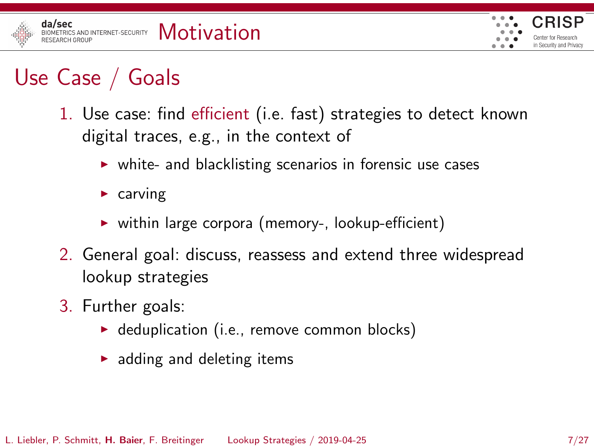

<span id="page-6-0"></span>

# Use Case / Goals

- 1. Use case: find efficient (i.e. fast) strategies to detect known digital traces, e.g., in the context of
	- $\triangleright$  white- and blacklisting scenarios in forensic use cases
	- $\triangleright$  carving
	- $\triangleright$  within large corpora (memory-, lookup-efficient)
- 2. General goal: discuss, reassess and extend three widespread lookup strategies
- 3. Further goals:
	- $\blacktriangleright$  deduplication (i.e., remove common blocks)
	- $\blacktriangleright$  adding and deleting items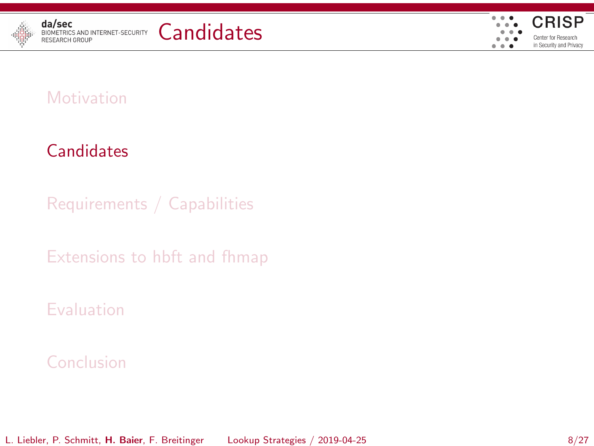



### **[Candidates](#page-7-0)**

[Requirements / Capabilities](#page-14-0)

[Extensions to hbft and fhmap](#page-17-0)

[Evaluation](#page-20-0)

#### [Conclusion](#page-24-0)

L. Liebler, P. Schmitt, H. Baier, F. Breitinger [Lookup Strategies](#page-0-0) / 2019-04-25 8/27

<span id="page-7-0"></span>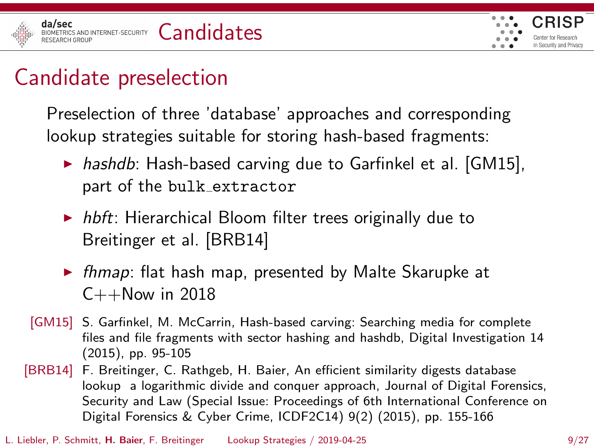

<span id="page-8-0"></span>

### Candidate preselection

Preselection of three 'database' approaches and corresponding lookup strategies suitable for storing hash-based fragments:

- $\triangleright$  hashdb: Hash-based carving due to Garfinkel et al. [GM15], part of the bulk extractor
- $\triangleright$  hbft: Hierarchical Bloom filter trees originally due to Breitinger et al. [BRB14]
- $\triangleright$  fhmap: flat hash map, presented by Malte Skarupke at  $C++Now$  in 2018
- [GM15] S. Garfinkel, M. McCarrin, Hash-based carving: Searching media for complete files and file fragments with sector hashing and hashdb, Digital Investigation 14 (2015), pp. 95-105
- [BRB14] F. Breitinger, C. Rathgeb, H. Baier, An efficient similarity digests database lookup a logarithmic divide and conquer approach, Journal of Digital Forensics, Security and Law (Special Issue: Proceedings of 6th International Conference on Digital Forensics & Cyber Crime, ICDF2C14) 9(2) (2015), pp. 155-166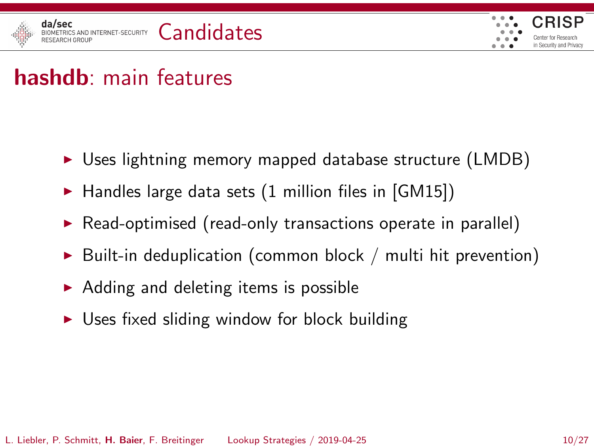

<span id="page-9-0"></span>

### hashdb: main features

- $\triangleright$  Uses lightning memory mapped database structure (LMDB)
- $\blacktriangleright$  Handles large data sets (1 million files in [GM15])
- $\triangleright$  Read-optimised (read-only transactions operate in parallel)
- $\triangleright$  Built-in deduplication (common block / multi hit prevention)
- $\triangleright$  Adding and deleting items is possible
- $\triangleright$  Uses fixed sliding window for block building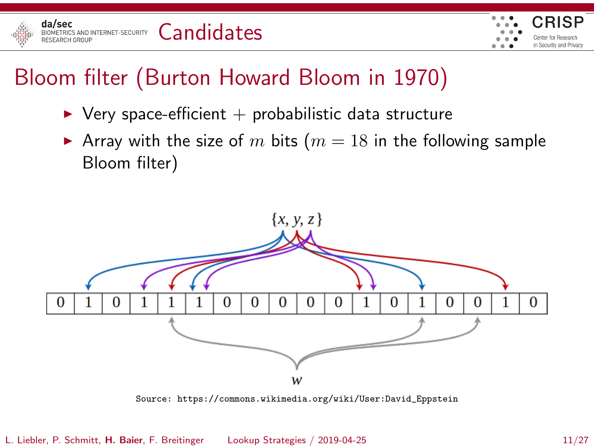



### Bloom filter (Burton Howard Bloom in 1970)

- $\triangleright$  Very space-efficient  $+$  probabilistic data structure
- Array with the size of m bits ( $m = 18$  in the following sample Bloom filter)



<span id="page-10-0"></span>Source: https://commons.wikimedia.org/wiki/User:David\_Eppstein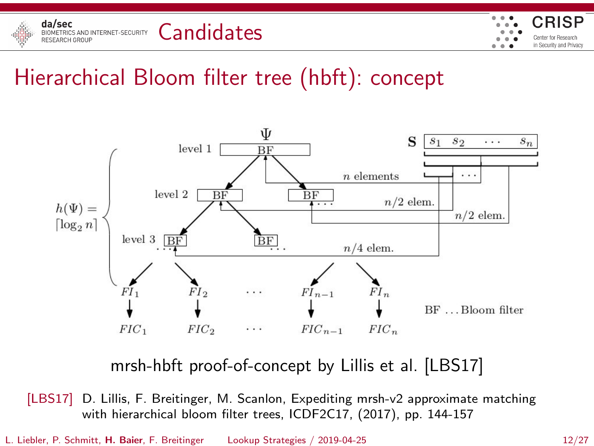

<span id="page-11-0"></span>

## Hierarchical Bloom filter tree (hbft): concept



mrsh-hbft proof-of-concept by Lillis et al. [LBS17]

[LBS17] D. Lillis, F. Breitinger, M. Scanlon, Expediting mrsh-v2 approximate matching with hierarchical bloom filter trees, ICDF2C17, (2017), pp. 144-157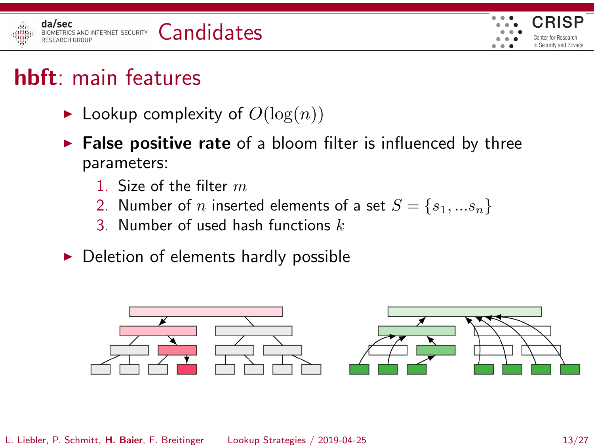

<span id="page-12-0"></span>

# hbft: main features

- $\blacktriangleright$  Lookup complexity of  $O(\log(n))$
- $\triangleright$  False positive rate of a bloom filter is influenced by three parameters:
	- 1. Size of the filter  $m$
	- 2. Number of *n* inserted elements of a set  $S = \{s_1, ... s_n\}$
	- 3. Number of used hash functions  $k$
- $\triangleright$  Deletion of elements hardly possible

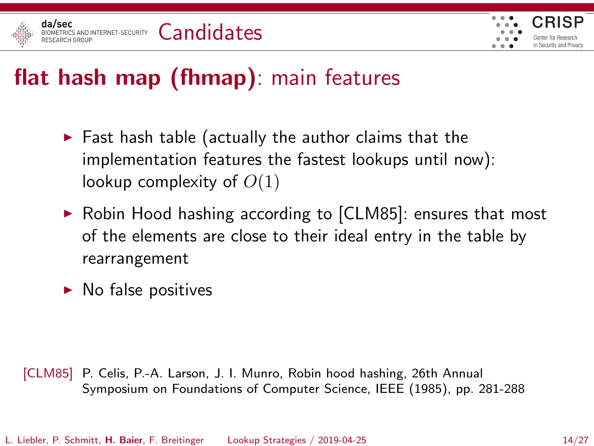

<span id="page-13-0"></span>

# flat hash map (fhmap): main features

- $\blacktriangleright$  Fast hash table (actually the author claims that the implementation features the fastest lookups until now): lookup complexity of  $O(1)$
- $\triangleright$  Robin Hood hashing according to [CLM85]: ensures that most of the elements are close to their ideal entry in the table by rearrangement
- $\blacktriangleright$  No false positives

[CLM85] P. Celis, P.-A. Larson, J. I. Munro, Robin hood hashing, 26th Annual Symposium on Foundations of Computer Science, IEEE (1985), pp. 281-288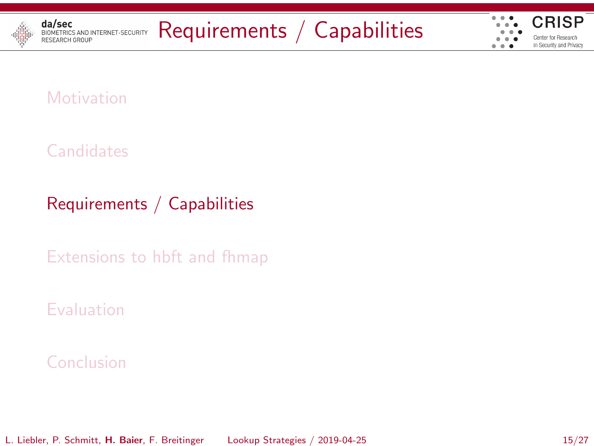

#### **[Candidates](#page-7-0)**

### [Requirements / Capabilities](#page-14-0)

[Extensions to hbft and fhmap](#page-17-0)

#### [Evaluation](#page-20-0)

#### [Conclusion](#page-24-0)

L. Liebler, P. Schmitt, H. Baier, F. Breitinger [Lookup Strategies](#page-0-0) / 2019-04-25 15/27

<span id="page-14-0"></span>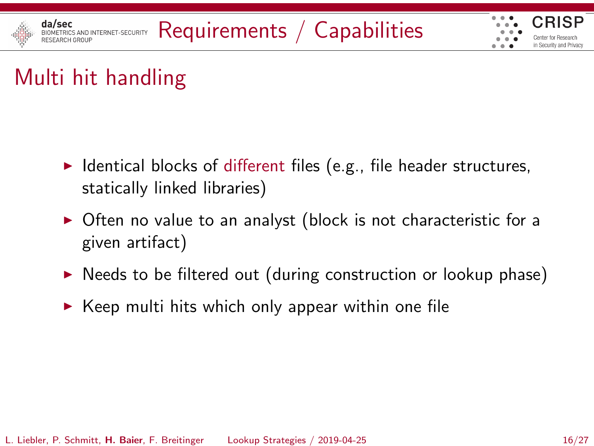

# Multi hit handling

- $\blacktriangleright$  Identical blocks of different files (e.g., file header structures, statically linked libraries)
- $\triangleright$  Often no value to an analyst (block is not characteristic for a given artifact)
- $\triangleright$  Needs to be filtered out (during construction or lookup phase)
- <span id="page-15-0"></span> $\triangleright$  Keep multi hits which only appear within one file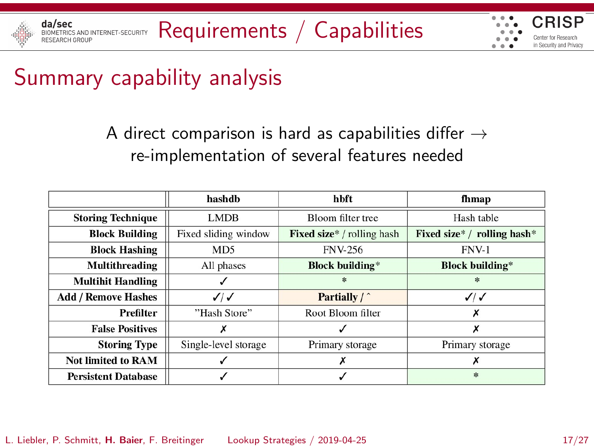

<span id="page-16-0"></span>

# Summary capability analysis

A direct comparison is hard as capabilities differ  $\rightarrow$ re-implementation of several features needed

|                            | hashdh               | hbft                             | fhmap                             |  |
|----------------------------|----------------------|----------------------------------|-----------------------------------|--|
| <b>Storing Technique</b>   | <b>LMDB</b>          | Bloom filter tree                | Hash table                        |  |
| <b>Block Building</b>      | Fixed sliding window | <b>Fixed size</b> */rolling hash | Fixed size* / rolling hash*       |  |
| <b>Block Hashing</b>       | M <sub>D5</sub>      | <b>FNV-256</b>                   | <b>FNV-1</b>                      |  |
| <b>Multithreading</b>      | All phases           | <b>Block building*</b>           | <b>Block building*</b>            |  |
| <b>Multihit Handling</b>   |                      | $\frac{1}{2\sqrt{3}}$            | $\mathcal{R}$                     |  |
| <b>Add / Remove Hashes</b> | $\checkmark$         | Partially / ^                    | $\sqrt{2}$                        |  |
| Prefilter                  | "Hash Store"         | Root Bloom filter                | х                                 |  |
| <b>False Positives</b>     | х                    |                                  | х                                 |  |
| <b>Storing Type</b>        | Single-level storage | Primary storage                  | Primary storage                   |  |
| <b>Not limited to RAM</b>  |                      |                                  |                                   |  |
| <b>Persistent Database</b> |                      |                                  | $\frac{d\mathbf{x}}{d\mathbf{x}}$ |  |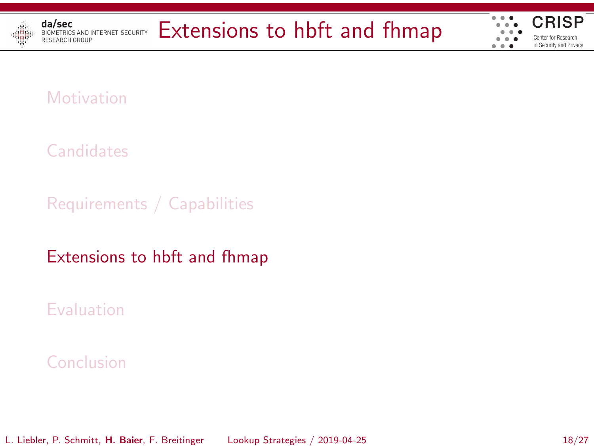

# **da/sec**<br>BIDKETRICS AND INTERNET-SECURITY [Extensions to hbft and fhmap](#page-17-0)



#### **[Motivation](#page-2-0)**

**[Candidates](#page-7-0)** 

[Requirements / Capabilities](#page-14-0)

[Extensions to hbft and fhmap](#page-17-0)

[Evaluation](#page-20-0)

#### [Conclusion](#page-24-0)

L. Liebler, P. Schmitt, H. Baier, F. Breitinger [Lookup Strategies](#page-0-0) / 2019-04-25 18/27

<span id="page-17-0"></span>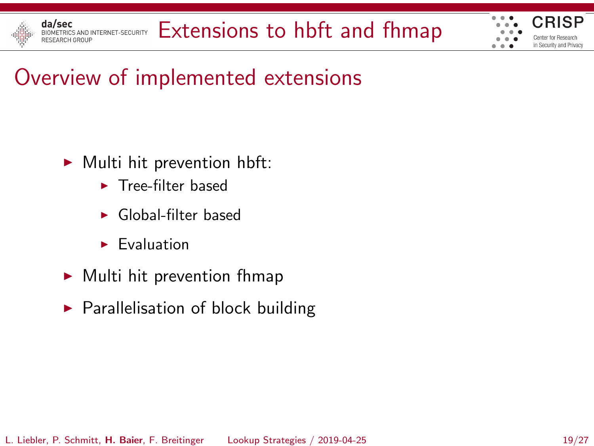

<span id="page-18-0"></span>

# Overview of implemented extensions

- $\blacktriangleright$  Multi hit prevention hbft:
	- $\blacktriangleright$  Tree-filter based
	- <sup>I</sup> Global-filter based
	- $\blacktriangleright$  Evaluation
- $\blacktriangleright$  Multi hit prevention fhmap
- $\blacktriangleright$  Parallelisation of block building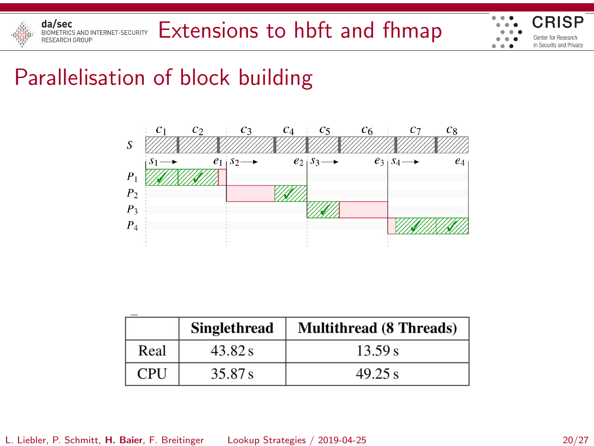

<span id="page-19-0"></span>

### Parallelisation of block building



|            | <b>Singlethread</b> | <b>Multithread (8 Threads)</b> |  |
|------------|---------------------|--------------------------------|--|
| Real       | 43.82 s             | 13.59 s                        |  |
| <b>CPU</b> | 35.87 s             | 49.25 s                        |  |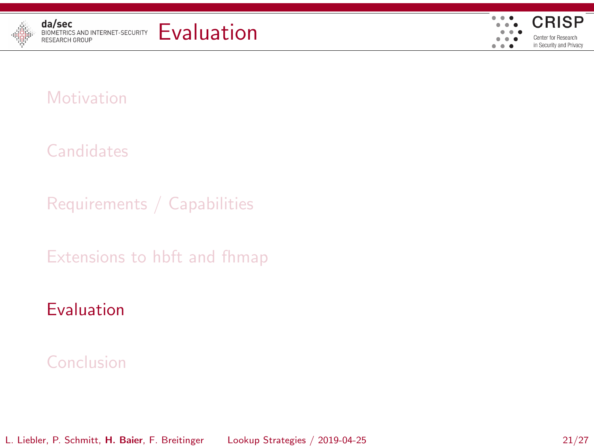



#### **[Candidates](#page-7-0)**

[Requirements / Capabilities](#page-14-0)

[Extensions to hbft and fhmap](#page-17-0)

### [Evaluation](#page-20-0)

#### [Conclusion](#page-24-0)

L. Liebler, P. Schmitt, H. Baier, F. Breitinger [Lookup Strategies](#page-0-0) / 2019-04-25 21/27

<span id="page-20-0"></span>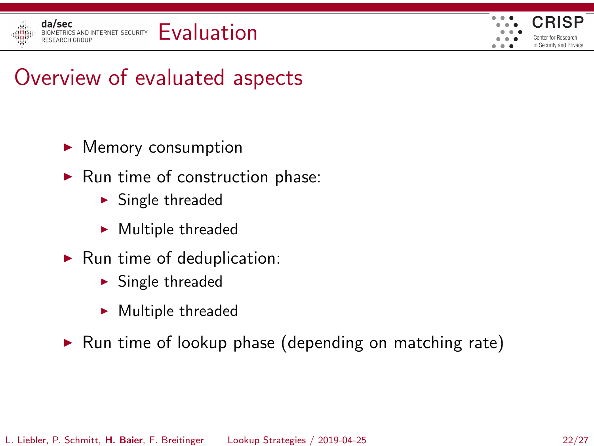

<span id="page-21-0"></span>

### Overview of evaluated aspects

- $\blacktriangleright$  Memory consumption
- $\blacktriangleright$  Run time of construction phase:
	- $\blacktriangleright$  Single threaded
	- $\blacktriangleright$  Multiple threaded
- $\blacktriangleright$  Run time of deduplication:
	- $\blacktriangleright$  Single threaded
	- $\blacktriangleright$  Multiple threaded
- $\triangleright$  Run time of lookup phase (depending on matching rate)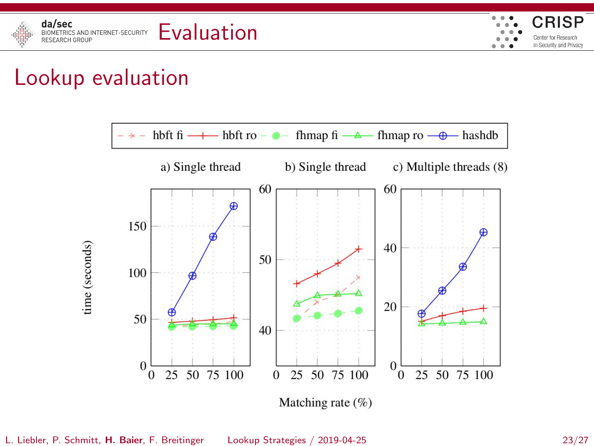



### Lookup evaluation



<span id="page-22-0"></span>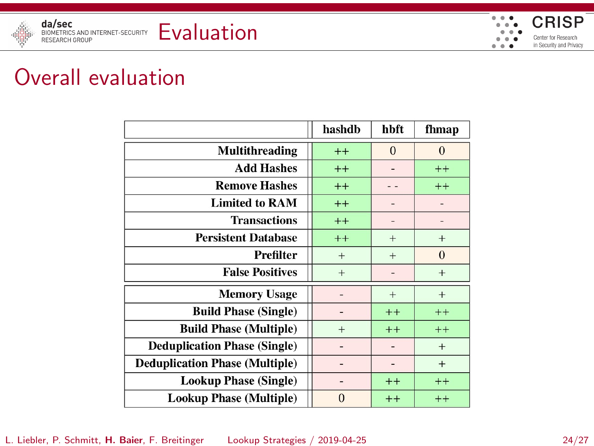

<span id="page-23-0"></span>

### Overall evaluation

|                                       | hashdb         | hbft         | fhmap          |
|---------------------------------------|----------------|--------------|----------------|
| Multithreading                        | $++$           | $\mathbf{0}$ | $\overline{0}$ |
| <b>Add Hashes</b>                     | $++$           |              | $^{++}$        |
| <b>Remove Hashes</b>                  | $++$           |              | $++$           |
| <b>Limited to RAM</b>                 | $++$           |              |                |
| <b>Transactions</b>                   | $^{++}$        |              |                |
| <b>Persistent Database</b>            | $++$           | $+$          | $^{+}$         |
| Prefilter                             | $+$            | $^{+}$       | $\overline{0}$ |
| <b>False Positives</b>                | $^{+}$         |              | $^{+}$         |
| <b>Memory Usage</b>                   |                | $^{+}$       | $^{+}$         |
| <b>Build Phase (Single)</b>           |                | $++$         | $++$           |
| <b>Build Phase (Multiple)</b>         | $^{+}$         | $++$         | $++$           |
| <b>Deduplication Phase (Single)</b>   |                |              | $^{+}$         |
| <b>Deduplication Phase (Multiple)</b> | -              |              | $+$            |
| <b>Lookup Phase (Single)</b>          | $\overline{a}$ | $++$         | $^{++}$        |
| <b>Lookup Phase (Multiple)</b>        | $\overline{0}$ | $++$         | $++$           |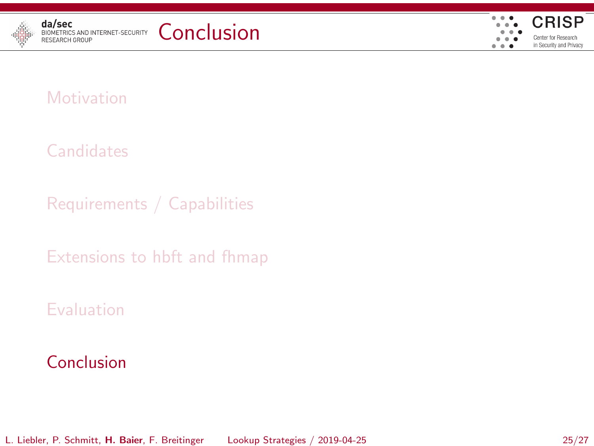





#### **[Candidates](#page-7-0)**

[Requirements / Capabilities](#page-14-0)

[Extensions to hbft and fhmap](#page-17-0)

#### [Evaluation](#page-20-0)

#### [Conclusion](#page-24-0)

L. Liebler, P. Schmitt, H. Baier, F. Breitinger [Lookup Strategies](#page-0-0) / 2019-04-25 25/27

<span id="page-24-0"></span>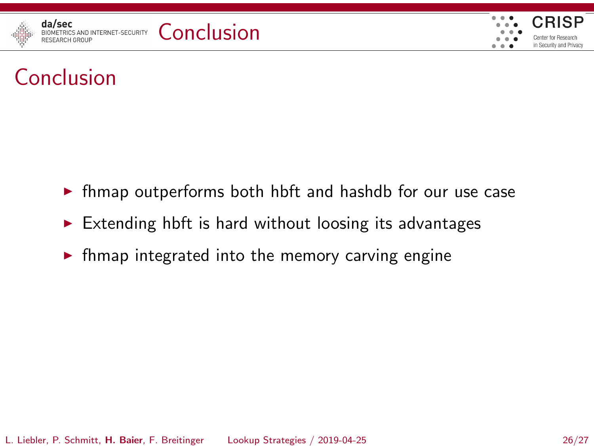

<span id="page-25-0"></span>

# Conclusion

- $\triangleright$  fhmap outperforms both hbft and hashdb for our use case
- $\triangleright$  Extending hbft is hard without loosing its advantages
- $\triangleright$  fhmap integrated into the memory carving engine